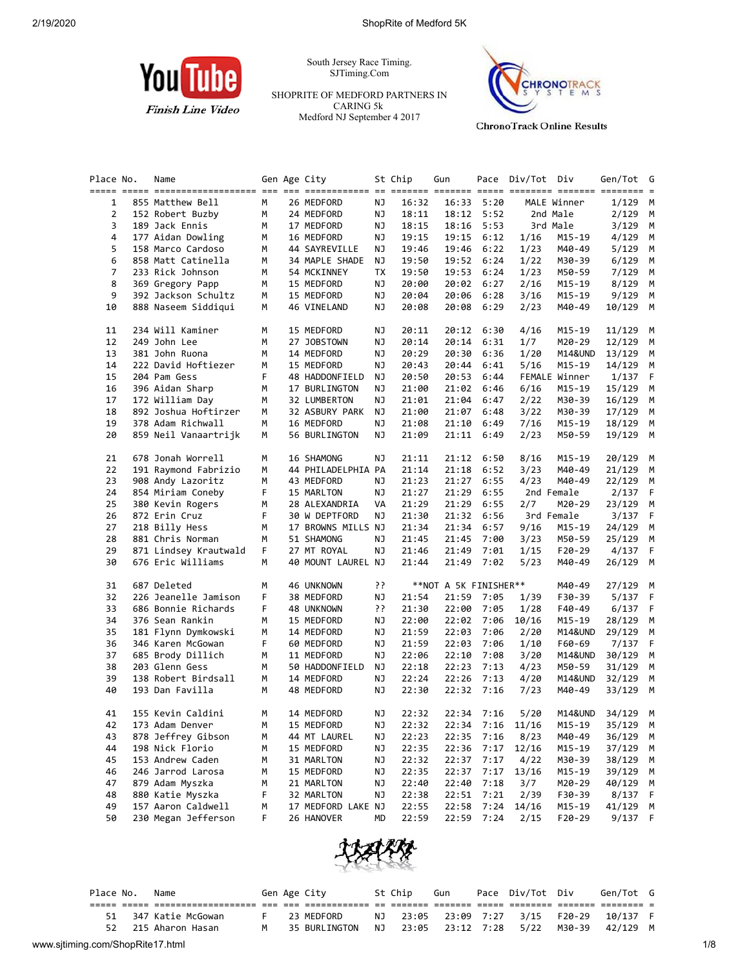

South Jersey Race Timing. SJTiming.Com

SHOPRITE OF MEDFORD PARTNERS IN CARING 5k Medford NJ September 4 2017



**ChronoTrack Online Results** 

| Place No. | Name                                       |        | Gen Age City                      |    | St Chip        | Gun                   |              | Pace Div/Tot Div |                  | Gen/Tot         | G      |
|-----------|--------------------------------------------|--------|-----------------------------------|----|----------------|-----------------------|--------------|------------------|------------------|-----------------|--------|
|           |                                            |        |                                   |    |                |                       |              |                  |                  |                 |        |
| 1         | 855 Matthew Bell                           | M      | 26 MEDFORD                        | ΝJ | 16:32          | 16:33                 | 5:20         |                  | MALE Winner      | $1/129$ M       |        |
| 2         | 152 Robert Buzby                           | м      | 24 MEDFORD                        | ΝJ | 18:11          | 18:12                 | 5:52         |                  | 2nd Male         | 2/129           | M      |
| 3         | 189 Jack Ennis                             | М      | 17 MEDFORD                        | ΝJ | 18:15          | 18:16                 | 5:53         |                  | 3rd Male         | 3/129           | М      |
| 4         | 177 Aidan Dowling                          | М      | 16 MEDFORD                        | ΝJ | 19:15          | 19:15                 | 6:12         | 1/16             | M15-19           | 4/129           | М      |
| 5         | 158 Marco Cardoso                          | м      | 44 SAYREVILLE                     | ΝJ | 19:46          | 19:46                 | 6:22         | 1/23             | M40-49           | 5/129           | М      |
| 6         | 858 Matt Catinella                         | М      | 34 MAPLE SHADE                    | ΝJ | 19:50          | 19:52                 | 6:24         | 1/22             | M30-39           | 6/129           | М      |
| 7         | 233 Rick Johnson                           | м      | 54 MCKINNEY                       | ТX | 19:50          | 19:53                 | 6:24         | 1/23             | M50-59           | 7/129           | М      |
| 8         | 369 Gregory Papp                           | м      | 15 MEDFORD                        | ΝJ | 20:00          | 20:02                 | 6:27         | 2/16             | M15-19           | 8/129           | М      |
| 9         | 392 Jackson Schultz                        | М      | 15 MEDFORD                        | ΝJ | 20:04          | 20:06                 | 6:28         | 3/16             | M15-19           | 9/129           | М      |
| 10        | 888 Naseem Siddiqui                        | М      | 46 VINELAND                       | ΝJ | 20:08          | 20:08                 | 6:29         | 2/23             | M40-49           | 10/129          | М      |
| 11        | 234 Will Kaminer                           | м      | 15 MEDFORD                        | ΝJ | 20:11          | 20:12                 | 6:30         | 4/16             | M15-19           | 11/129          | M      |
| 12        | 249 John Lee                               | м      | 27 JOBSTOWN                       | ΝJ | 20:14          | 20:14                 | 6:31         | 1/7              | M20-29           | 12/129          | M      |
| 13        | 381 John Ruona                             | м      | 14 MEDFORD                        | ΝJ | 20:29          | 20:30                 | 6:36         | 1/20             | M14&UND          | 13/129          | M      |
| 14        | 222 David Hoftiezer                        | M      | 15 MEDFORD                        | ΝJ | 20:43          | 20:44                 | 6:41         | 5/16             | M15-19           | 14/129          | М      |
| 15        | 204 Pam Gess                               | F      | 48 HADDONFIELD                    | ΝJ | 20:50          | 20:53                 | 6:44         |                  | FEMALE Winner    | 1/137           | F      |
| 16        | 396 Aidan Sharp                            | м      | 17 BURLINGTON                     | ΝJ | 21:00          | 21:02                 | 6:46         | 6/16             | M15-19           | 15/129          | М      |
| 17        | 172 William Day                            | М      | 32 LUMBERTON                      | ΝJ | 21:01          | 21:04                 | 6:47         | 2/22             | M30-39           | 16/129          | М      |
| 18        | 892 Joshua Hoftirzer                       | м      | 32 ASBURY PARK                    | ΝJ | 21:00          | 21:07                 | 6:48         | 3/22             | M30-39           | 17/129          | M      |
| 19        | 378 Adam Richwall                          | М      | 16 MEDFORD                        | ΝJ | 21:08          | 21:10                 | 6:49         | 7/16             | M15-19           | 18/129          | M      |
| 20        | 859 Neil Vanaartrijk                       | M      | 56 BURLINGTON                     | ΝJ | 21:09          |                       | 21:11 6:49   | 2/23             | M50-59           | 19/129          | М      |
| 21        | 678 Jonah Worrell                          | м      | 16 SHAMONG                        | ΝJ | 21:11          |                       | 21:12 6:50   | 8/16             | M15-19           | 20/129          | M      |
| 22        | 191 Raymond Fabrizio                       | М      | 44 PHILADELPHIA PA                |    | 21:14          | 21:18                 | 6:52         | 3/23             | M40-49           | 21/129          | М      |
| 23        | 908 Andy Lazoritz                          | М      | 43 MEDFORD                        | ΝJ | 21:23          | 21:27                 | 6:55         | 4/23             | M40-49           | 22/129          | M      |
| 24        | 854 Miriam Coneby                          | F      | 15 MARLTON                        | ΝJ | 21:27          | 21:29                 | 6:55         |                  | 2nd Female       | 2/137           | F.     |
| 25        | 380 Kevin Rogers                           | М      | 28 ALEXANDRIA                     | VA | 21:29          | 21:29                 | 6:55         | 2/7              | M20-29           | 23/129          | М      |
| 26        | 872 Erin Cruz                              | F      | 30 W DEPTFORD                     | ΝJ | 21:30          | 21:32                 | 6:56         |                  | 3rd Female       | 3/137           | F      |
|           |                                            |        | 17 BROWNS MILLS NJ                |    |                |                       |              | 9/16             |                  | 24/129          |        |
| 27        | 218 Billy Hess                             | м      |                                   |    | 21:34          | 21:34                 | 6:57         |                  | M15-19           |                 | М      |
| 28        | 881 Chris Norman                           | М      | 51 SHAMONG                        | ΝJ | 21:45          | 21:45                 | 7:00         | 3/23             | M50-59           | 25/129          | М      |
| 29<br>30  | 871 Lindsey Krautwald<br>676 Eric Williams | F<br>М | 27 MT ROYAL<br>40 MOUNT LAUREL NJ | ΝJ | 21:46<br>21:44 | 21:49<br>21:49        | 7:01<br>7:02 | 1/15<br>5/23     | F20-29<br>M40-49 | 4/137<br>26/129 | F<br>M |
|           | 687 Deleted                                |        |                                   | יִ |                |                       |              |                  | M40-49           |                 |        |
| 31        |                                            | м<br>F | 46 UNKNOWN                        |    |                | **NOT A 5K FINISHER** |              |                  |                  | 27/129          | M      |
| 32        | 226 Jeanelle Jamison                       |        | 38 MEDFORD                        | ΝJ | 21:54          | 21:59                 | 7:05         | 1/39             | F30-39           | 5/137           | F      |
| 33        | 686 Bonnie Richards                        | F      | 48 UNKNOWN                        | יִ | 21:30          | 22:00                 | 7:05         | 1/28             | F40-49           | 6/137           | F      |
| 34        | 376 Sean Rankin                            | М      | 15 MEDFORD                        | ΝJ | 22:00          | 22:02                 | 7:06         | 10/16            | M15-19           | 28/129          | M      |
| 35        | 181 Flynn Dymkowski                        | м      | 14 MEDFORD                        | ΝJ | 21:59          | 22:03                 | 7:06         | 2/20             | M14&UND          | 29/129          | M      |
| 36        | 346 Karen McGowan                          | F      | 60 MEDFORD                        | ΝJ | 21:59          | 22:03                 | 7:06         | 1/10             | F60-69           | 7/137           | F      |
| 37        | 685 Brody Dillich                          | м      | 11 MEDFORD                        | ΝJ | 22:06          | 22:10                 | 7:08         | 3/20             | M14&UND          | 30/129          | М      |
| 38        | 203 Glenn Gess                             | м      | 50 HADDONFIELD                    | ΝJ | 22:18          | 22:23                 | 7:13         | 4/23             | M50-59           | 31/129          | М      |
| 39        | 138 Robert Birdsall                        | М      | 14 MEDFORD                        | ΝJ | 22:24          | 22:26                 | 7:13         | 4/20             | M14&UND          | 32/129          | M      |
| 40        | 193 Dan Favilla                            | м      | 48 MEDFORD                        | ΝJ | 22:30          | 22:32                 | 7:16         | 7/23             | M40-49           | 33/129          | М      |
| 41        | 155 Kevin Caldini                          | M      | 14 MEDFORD                        | ΝJ | 22:32          | 22:34                 | 7:16         | 5/20             | M14&UND          | 34/129          | M      |
| 42        | 173 Adam Denver                            | М      | 15 MEDFORD                        | NJ | 22:32          |                       |              | 22:34 7:16 11/16 |                  | M15-19 35/129 M |        |
| 43        | 878 Jeffrey Gibson                         | М      | 44 MT LAUREL                      | ΝJ | 22:23          | 22:35                 | 7:16         | 8/23             | M40-49           | 36/129 M        |        |
| 44        | 198 Nick Florio                            | м      | 15 MEDFORD                        | ΝJ | 22:35          | 22:36                 | 7:17         | 12/16            | $M15 - 19$       | 37/129          | M      |
| 45        | 153 Andrew Caden                           | м      | 31 MARLTON                        | ΝJ | 22:32          | 22:37                 | 7:17         | 4/22             | M30-39           | 38/129          | M      |
| 46        | 246 Jarrod Larosa                          | М      | 15 MEDFORD                        | ΝJ | 22:35          | 22:37                 | 7:17         | 13/16            | M15-19           | 39/129          | M      |
| 47        | 879 Adam Myszka                            | м      | 21 MARLTON                        | ΝJ | 22:40          | 22:40                 | 7:18         | 3/7              | M20-29           | 40/129          | M      |
| 48        | 880 Katie Myszka                           | F      | 32 MARLTON                        | ΝJ | 22:38          | 22:51                 | 7:21         | 2/39             | F30-39           | 8/137           | F      |
| 49        | 157 Aaron Caldwell                         | м      | 17 MEDFORD LAKE NJ                |    | 22:55          | 22:58                 | 7:24         | 14/16            | M15-19           | 41/129          | M      |
| 50        | 230 Megan Jefferson                        | F.     | 26 HANOVER                        | MD | 22:59          | 22:59                 | 7:24         | 2/15             | $F20-29$         | 9/137           | F      |
|           |                                            |        |                                   |    |                |                       |              |                  |                  |                 |        |



|                                  | Place No. | Name              |   | Gen Age City  |    | St Chip | Gun              | Pace Div/Tot Div      |        | Gen/Tot G |     |
|----------------------------------|-----------|-------------------|---|---------------|----|---------|------------------|-----------------------|--------|-----------|-----|
|                                  |           |                   |   |               |    |         |                  |                       |        |           |     |
|                                  | 51        | 347 Katie McGowan |   | 23 MEDFORD    | NJ |         |                  | 23:05 23:09 7:27 3/15 | F20-29 | 10/137 F  |     |
|                                  | 52        | 215 Aharon Hasan  | M | 35 BURLINGTON | NJ |         | 23:05 23:12 7:28 | 5/22                  | M30-39 | 42/129 M  |     |
| www.sjtiming.com/ShopRite17.html |           |                   |   |               |    |         |                  |                       |        |           | 1/8 |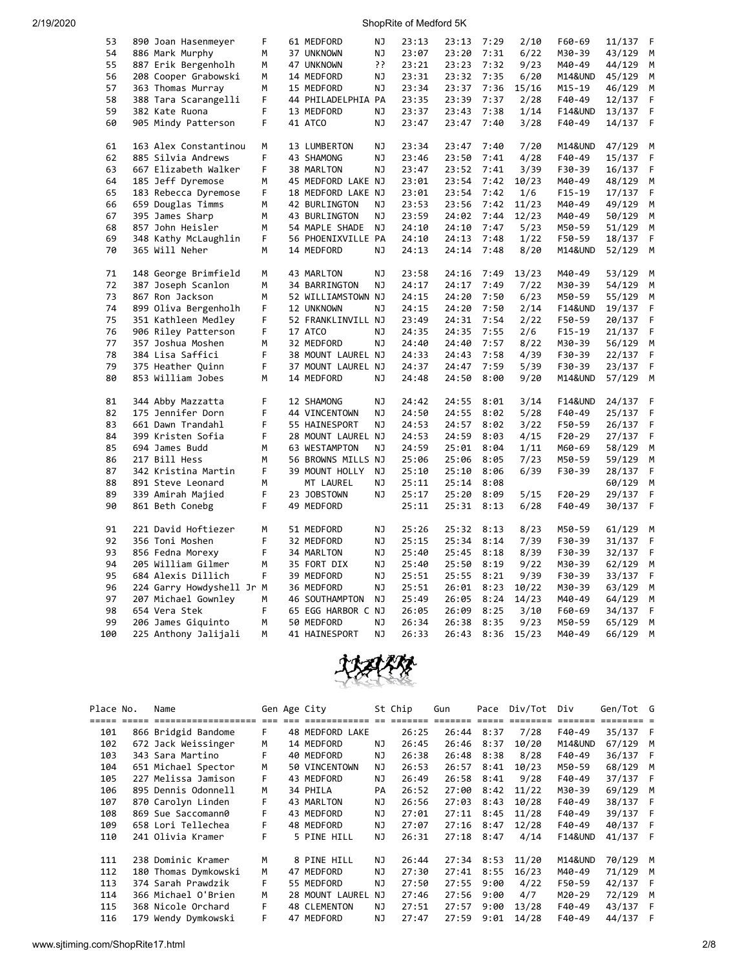| 53  | 890 Joan Hasenmeyer       | F | 61 MEDFORD         | NJ        | 23:13 | 23:13 | 7:29 | 2/10  | F60-69             | 11/137 | F |
|-----|---------------------------|---|--------------------|-----------|-------|-------|------|-------|--------------------|--------|---|
| 54  | 886 Mark Murphy           | M | 37 UNKNOWN         | NJ        | 23:07 | 23:20 | 7:31 | 6/22  | M30-39             | 43/129 | M |
| 55  | 887 Erik Bergenholh       | M | 47 UNKNOWN         | יִ        | 23:21 | 23:23 | 7:32 | 9/23  | M40-49             | 44/129 | М |
| 56  | 208 Cooper Grabowski      | м | 14 MEDFORD         | ΝJ        | 23:31 | 23:32 | 7:35 | 6/20  | M14&UND            | 45/129 | М |
| 57  | 363 Thomas Murray         | M | 15 MEDFORD         | NJ        | 23:34 | 23:37 | 7:36 | 15/16 | M15-19             | 46/129 | M |
| 58  | 388 Tara Scarangelli      | F | 44 PHILADELPHIA PA |           | 23:35 | 23:39 | 7:37 | 2/28  | F40-49             | 12/137 | F |
| 59  | 382 Kate Ruona            | F | 13 MEDFORD         | ΝJ        | 23:37 | 23:43 | 7:38 | 1/14  | <b>F14&amp;UND</b> | 13/137 | F |
| 60  |                           | F | 41 ATCO            | NJ        | 23:47 | 23:47 | 7:40 |       | F40-49             |        | F |
|     | 905 Mindy Patterson       |   |                    |           |       |       |      | 3/28  |                    | 14/137 |   |
| 61  | 163 Alex Constantinou     | M | 13 LUMBERTON       | NJ        | 23:34 | 23:47 | 7:40 | 7/20  | M14&UND            | 47/129 | M |
| 62  | 885 Silvia Andrews        | F | 43 SHAMONG         | <b>NJ</b> | 23:46 | 23:50 | 7:41 | 4/28  | F40-49             | 15/137 | F |
| 63  | 667 Elizabeth Walker      | F | 38 MARLTON         | NJ        | 23:47 | 23:52 | 7:41 | 3/39  | F30-39             | 16/137 | F |
| 64  | 185 Jeff Dyremose         | M | 45 MEDFORD LAKE NJ |           | 23:01 | 23:54 | 7:42 | 10/23 | M40-49             | 48/129 | М |
| 65  | 183 Rebecca Dyremose      | F | 18 MEDFORD LAKE NJ |           | 23:01 | 23:54 | 7:42 | 1/6   | $F15-19$           | 17/137 | F |
| 66  | 659 Douglas Timms         | M | 42 BURLINGTON      | NJ        | 23:53 | 23:56 | 7:42 | 11/23 | M40-49             | 49/129 | M |
| 67  | 395 James Sharp           | м | 43 BURLINGTON      | NJ        | 23:59 | 24:02 | 7:44 | 12/23 | M40-49             | 50/129 | М |
| 68  | 857 John Heisler          | M | 54 MAPLE SHADE     | NJ        | 24:10 | 24:10 | 7:47 | 5/23  | M50-59             | 51/129 | M |
| 69  | 348 Kathy McLaughlin      | F | 56 PHOENIXVILLE PA |           | 24:10 | 24:13 | 7:48 | 1/22  | F50-59             | 18/137 | F |
| 70  | 365 Will Neher            | М | 14 MEDFORD         | ΝJ        | 24:13 | 24:14 | 7:48 | 8/20  | M14&UND            | 52/129 | M |
|     |                           |   |                    |           |       |       |      |       |                    |        |   |
| 71  | 148 George Brimfield      | M | 43 MARLTON         | NJ        | 23:58 | 24:16 | 7:49 | 13/23 | M40-49             | 53/129 | M |
| 72  | 387 Joseph Scanlon        | М | 34 BARRINGTON      | <b>NJ</b> | 24:17 | 24:17 | 7:49 | 7/22  | M30-39             | 54/129 | M |
| 73  | 867 Ron Jackson           | M | 52 WILLIAMSTOWN NJ |           | 24:15 | 24:20 | 7:50 | 6/23  | M50-59             | 55/129 | M |
| 74  | 899 Oliva Bergenholh      | F | 12 UNKNOWN         | NJ        | 24:15 | 24:20 | 7:50 | 2/14  | <b>F14&amp;UND</b> | 19/137 | F |
| 75  | 351 Kathleen Medley       | F | 52 FRANKLINVILL NJ |           | 23:49 | 24:31 | 7:54 | 2/22  | F50-59             | 20/137 | F |
| 76  | 906 Riley Patterson       | F | 17 ATCO            | NJ        | 24:35 | 24:35 | 7:55 | 2/6   | $F15-19$           | 21/137 | F |
|     |                           |   |                    |           |       |       |      |       |                    |        |   |
| 77  | 357 Joshua Moshen         | М | 32 MEDFORD         | <b>NJ</b> | 24:40 | 24:40 | 7:57 | 8/22  | M30-39             | 56/129 | М |
| 78  | 384 Lisa Saffici          | F | 38 MOUNT LAUREL NJ |           | 24:33 | 24:43 | 7:58 | 4/39  | F30-39             | 22/137 | F |
| 79  | 375 Heather Quinn         | F | 37 MOUNT LAUREL NJ |           | 24:37 | 24:47 | 7:59 | 5/39  | F30-39             | 23/137 | F |
| 80  | 853 William Jobes         | М | 14 MEDFORD         | NJ        | 24:48 | 24:50 | 8:00 | 9/20  | M14&UND            | 57/129 | M |
| 81  | 344 Abby Mazzatta         | F | 12 SHAMONG         | ΝJ        | 24:42 | 24:55 | 8:01 | 3/14  | <b>F14&amp;UND</b> | 24/137 | F |
| 82  | 175 Jennifer Dorn         | F | 44 VINCENTOWN      | <b>NJ</b> | 24:50 | 24:55 | 8:02 | 5/28  | F40-49             | 25/137 | F |
| 83  | 661 Dawn Trandahl         | F | 55 HAINESPORT      | NJ        | 24:53 | 24:57 | 8:02 | 3/22  | F50-59             | 26/137 | F |
| 84  | 399 Kristen Sofia         | F | 28 MOUNT LAUREL NJ |           | 24:53 | 24:59 | 8:03 | 4/15  | $F20-29$           | 27/137 | F |
| 85  | 694 James Budd            | м | 63 WESTAMPTON      | ΝJ        | 24:59 | 25:01 | 8:04 | 1/11  | M60-69             | 58/129 | М |
| 86  | 217 Bill Hess             | M | 56 BROWNS MILLS NJ |           | 25:06 | 25:06 | 8:05 | 7/23  | M50-59             | 59/129 | M |
| 87  | 342 Kristina Martin       | F | 39 MOUNT HOLLY     | <b>NJ</b> | 25:10 | 25:10 | 8:06 | 6/39  | F30-39             | 28/137 | F |
| 88  | 891 Steve Leonard         | M | MT LAUREL          | ΝJ        | 25:11 | 25:14 | 8:08 |       |                    | 60/129 | M |
| 89  | 339 Amirah Majied         | F | 23 JOBSTOWN        | NJ        | 25:17 | 25:20 | 8:09 | 5/15  | $F20-29$           | 29/137 | F |
|     |                           |   |                    |           |       |       |      |       |                    |        |   |
| 90  | 861 Beth Conebg           | F | 49 MEDFORD         |           | 25:11 | 25:31 | 8:13 | 6/28  | F40-49             | 30/137 | F |
| 91  | 221 David Hoftiezer       | М | 51 MEDFORD         | ΝJ        | 25:26 | 25:32 | 8:13 | 8/23  | M50-59             | 61/129 | М |
| 92  | 356 Toni Moshen           | F | 32 MEDFORD         | ΝJ        | 25:15 | 25:34 | 8:14 | 7/39  | F30-39             | 31/137 | F |
| 93  | 856 Fedna Morexy          | F | 34 MARLTON         | NJ        | 25:40 | 25:45 | 8:18 | 8/39  | F30-39             | 32/137 | F |
| 94  | 205 William Gilmer        | M | 35 FORT DIX        | ΝJ        | 25:40 | 25:50 | 8:19 | 9/22  | M30-39             | 62/129 | М |
| 95  | 684 Alexis Dillich        | F | 39 MEDFORD         | ΝJ        | 25:51 | 25:55 | 8:21 | 9/39  | F30-39             | 33/137 | F |
| 96  | 224 Garry Howdyshell Jr M |   | 36 MEDFORD         | NJ        | 25:51 | 26:01 | 8:23 | 10/22 | M30-39             | 63/129 | M |
| 97  | 207 Michael Gownley       | М | 46 SOUTHAMPTON     | NJ        | 25:49 | 26:05 | 8:24 | 14/23 | M40-49             | 64/129 | М |
| 98  | 654 Vera Stek             | F | 65 EGG HARBOR C NJ |           | 26:05 | 26:09 | 8:25 | 3/10  | F60-69             | 34/137 | F |
| 99  | 206 James Giquinto        | М | 50 MEDFORD         | NJ        | 26:34 | 26:38 | 8:35 | 9/23  | M50-59             | 65/129 | М |
| 100 | 225 Anthony Jalijali      | M | 41 HAINESPORT      | NJ        | 26:33 | 26:43 | 8:36 | 15/23 | M40-49             | 66/129 | M |
|     |                           |   |                    |           |       |       |      |       |                    |        |   |



| Place No. | Name                 |    | Gen Age City        |     | St Chip | Gun   | Pace | Div/Tot | Div                | Gen/Tot G |     |
|-----------|----------------------|----|---------------------|-----|---------|-------|------|---------|--------------------|-----------|-----|
|           | ==================   |    |                     |     |         |       |      |         |                    |           |     |
| 101       | 866 Bridgid Bandome  | F. | 48 MEDFORD LAKE     |     | 26:25   | 26:44 | 8:37 | 7/28    | F40-49             | 35/137    | - F |
| 102       | 672 Jack Weissinger  | M  | 14 MEDFORD          | ΝJ  | 26:45   | 26:46 | 8:37 | 10/20   | M14&UND            | 67/129    | M   |
| 103       | 343 Sara Martino     | F  | 40 MEDFORD          | ΝJ  | 26:38   | 26:48 | 8:38 | 8/28    | F40-49             | 36/137    | - F |
| 104       | 651 Michael Spector  | M  | 50 VINCENTOWN       | ΝJ  | 26:53   | 26:57 | 8:41 | 10/23   | M50-59             | 68/129    | M   |
| 105       | 227 Melissa Jamison  | F. | 43 MEDFORD          | ΝJ  | 26:49   | 26:58 | 8:41 | 9/28    | F40-49             | 37/137    | - F |
| 106       | 895 Dennis Odonnell  | M  | 34 PHILA            | PA  | 26:52   | 27:00 | 8:42 | 11/22   | M30-39             | 69/129 M  |     |
| 107       | 870 Carolyn Linden   | F  | 43 MARLTON          | ΝJ  | 26:56   | 27:03 | 8:43 | 10/28   | F40-49             | 38/137    | - F |
| 108       | 869 Sue Saccomann0   | F  | 43 MEDFORD          | ΝJ  | 27:01   | 27:11 | 8:45 | 11/28   | F40-49             | 39/137    | - F |
| 109       | 658 Lori Tellechea   | F  | 48 MEDFORD          | ΝJ  | 27:07   | 27:16 | 8:47 | 12/28   | F40-49             | 40/137    | - F |
| 110       | 241 Olivia Kramer    | F  | 5 PINE HILL         | NJ. | 26:31   | 27:18 | 8:47 | 4/14    | <b>F14&amp;UND</b> | 41/137 F  |     |
|           |                      |    |                     |     |         |       |      |         |                    |           |     |
| 111       | 238 Dominic Kramer   | М  | 8 PINE HILL         | NJ. | 26:44   | 27:34 | 8:53 | 11/20   | <b>M14&amp;UND</b> | 70/129 M  |     |
| 112       | 180 Thomas Dymkowski | м  | 47 MEDFORD          | ΝJ  | 27:30   | 27:41 | 8:55 | 16/23   | M40-49             | 71/129    | M   |
| 113       | 374 Sarah Prawdzik   | F  | 55 MEDFORD          | ΝJ  | 27:50   | 27:55 | 9:00 | 4/22    | F50-59             | 42/137    | F   |
| 114       | 366 Michael O'Brien  | М  | 28 MOUNT LAUREL NJ  |     | 27:46   | 27:56 | 9:00 | 4/7     | M20-29             | 72/129    | M   |
| 115       | 368 Nicole Orchard   | F. | <b>48 CLEMENTON</b> | ΝJ  | 27:51   | 27:57 | 9:00 | 13/28   | F40-49             | 43/137    | F   |
| 116       | 179 Wendy Dymkowski  | F  | 47 MEDFORD          | ΝJ  | 27:47   | 27:59 | 9:01 | 14/28   | F40-49             | 44/137    | F   |

www.sjtiming.com/ShopRite17.html 2/8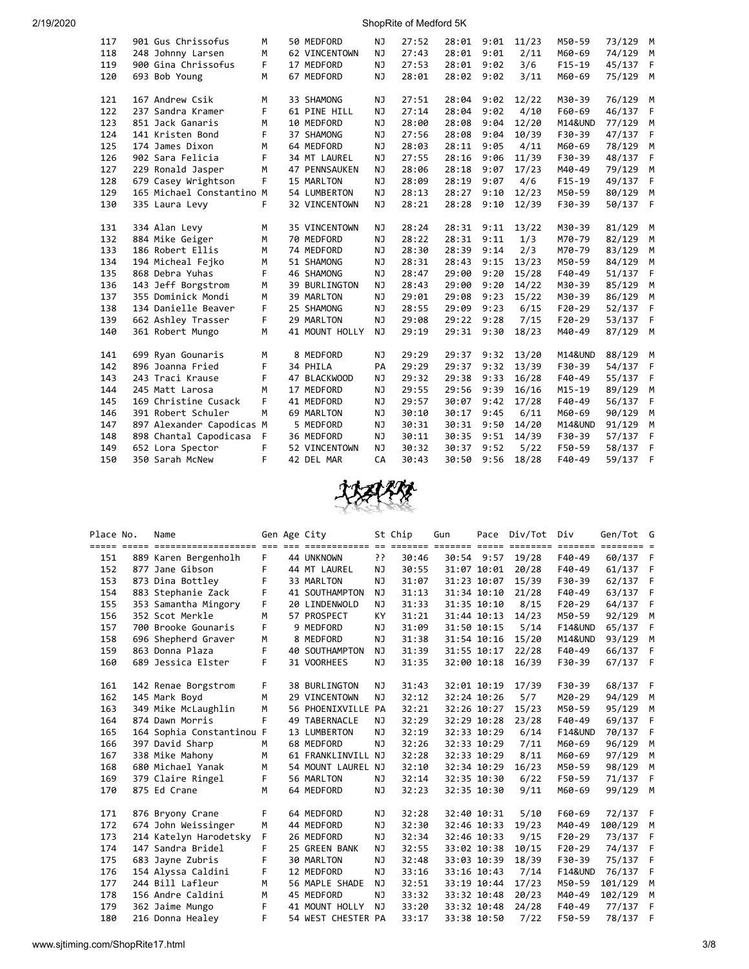| 117 | 901 Gus Chrissofus        | M  | 50 MEDFORD           | NJ        | 27:52 | 28:01 | 9:01 | 11/23 | M50-59             | 73/129 | М   |
|-----|---------------------------|----|----------------------|-----------|-------|-------|------|-------|--------------------|--------|-----|
| 118 | 248 Johnny Larsen         | M  | 62 VINCENTOWN        | NJ        | 27:43 | 28:01 | 9:01 | 2/11  | M60-69             | 74/129 | M   |
| 119 | 900 Gina Chrissofus       | F. | 17 MEDFORD           | NJ        | 27:53 | 28:01 | 9:02 | 3/6   | $F15-19$           | 45/137 | F   |
| 120 | 693 Bob Young             | M  | 67 MEDFORD           | <b>NJ</b> | 28:01 | 28:02 | 9:02 | 3/11  | M60-69             | 75/129 | M   |
|     |                           |    |                      |           |       |       |      |       |                    |        |     |
| 121 | 167 Andrew Csik           | M  | 33 SHAMONG           | NJ        | 27:51 | 28:04 | 9:02 | 12/22 | M30-39             | 76/129 | M   |
| 122 | 237 Sandra Kramer         | F  | 61 PINE HILL         | NJ        | 27:14 | 28:04 | 9:02 | 4/10  | F60-69             | 46/137 | F   |
| 123 | 851 Jack Ganaris          | M  | 10 MEDFORD           | NJ        | 28:00 | 28:08 | 9:04 | 12/20 | <b>M14&amp;UND</b> | 77/129 | M   |
| 124 | 141 Kristen Bond          | F. | 37 SHAMONG           | NJ        | 27:56 | 28:08 | 9:04 | 10/39 | F30-39             | 47/137 | F   |
| 125 | 174 James Dixon           | М  | 64 MEDFORD           | <b>NJ</b> | 28:03 | 28:11 | 9:05 | 4/11  | M60-69             | 78/129 | M   |
| 126 | 902 Sara Felicia          | F. | 34 MT LAUREL         | NJ        | 27:55 | 28:16 | 9:06 | 11/39 | F30-39             | 48/137 | F   |
| 127 | 229 Ronald Jasper         | M  | 47 PENNSAUKEN        | <b>NJ</b> | 28:06 | 28:18 | 9:07 | 17/23 | M40-49             | 79/129 | M   |
| 128 | 679 Casey Wrightson       | F. | 15 MARLTON           | NJ        | 28:09 | 28:19 | 9:07 | 4/6   | $F15-19$           | 49/137 | F.  |
| 129 | 165 Michael Constantino M |    | 54 LUMBERTON         | NJ        | 28:13 | 28:27 | 9:10 | 12/23 | M50-59             | 80/129 | M   |
| 130 | 335 Laura Levy            | F  | 32 VINCENTOWN        | NJ        | 28:21 | 28:28 | 9:10 | 12/39 | F30-39             | 50/137 | - F |
|     |                           |    |                      |           |       |       |      |       |                    |        |     |
| 131 | 334 Alan Levy             | M  | 35 VINCENTOWN        | NJ        | 28:24 | 28:31 | 9:11 | 13/22 | M30-39             | 81/129 | M   |
| 132 | 884 Mike Geiger           | М  | 70 MEDFORD           | NJ        | 28:22 | 28:31 | 9:11 | 1/3   | M70-79             | 82/129 | M   |
| 133 | 186 Robert Ellis          | M  | 74 MEDFORD           | NJ        | 28:30 | 28:39 | 9:14 | 2/3   | M70-79             | 83/129 | M   |
| 134 | 194 Micheal Fejko         | M  | 51 SHAMONG           | NJ        | 28:31 | 28:43 | 9:15 | 13/23 | M50-59             | 84/129 | M   |
| 135 | 868 Debra Yuhas           | F  | 46 SHAMONG           | <b>NJ</b> | 28:47 | 29:00 | 9:20 | 15/28 | F40-49             | 51/137 | F   |
| 136 | 143 Jeff Borgstrom        | М  | <b>39 BURLINGTON</b> | NJ        | 28:43 | 29:00 | 9:20 | 14/22 | M30-39             | 85/129 | M   |
| 137 | 355 Dominick Mondi        | М  | 39 MARLTON           | <b>NJ</b> | 29:01 | 29:08 | 9:23 | 15/22 | M30-39             | 86/129 | M   |
| 138 | 134 Danielle Beaver       | F  | 25 SHAMONG           | <b>NJ</b> | 28:55 | 29:09 | 9:23 | 6/15  | $F20-29$           | 52/137 | F   |
| 139 | 662 Ashley Trasser        | F  | 29 MARLTON           | NJ        | 29:08 | 29:22 | 9:28 | 7/15  | $F20-29$           | 53/137 | F   |
| 140 | 361 Robert Mungo          | M  | 41 MOUNT HOLLY       | <b>NJ</b> | 29:19 | 29:31 | 9:30 | 18/23 | M40-49             | 87/129 | M   |
|     |                           |    |                      |           |       |       |      |       |                    |        |     |
| 141 | 699 Ryan Gounaris         | М  | 8 MEDFORD            | ΝJ        | 29:29 | 29:37 | 9:32 | 13/20 | M14&UND            | 88/129 | М   |
| 142 | 896 Joanna Fried          | F  | 34 PHILA             | PA        | 29:29 | 29:37 | 9:32 | 13/39 | F30-39             | 54/137 | F   |
| 143 | 243 Traci Krause          | F  | 47 BLACKWOOD         | NJ        | 29:32 | 29:38 | 9:33 | 16/28 | F40-49             | 55/137 | F   |
| 144 | 245 Matt Larosa           | М  | 17 MEDFORD           | <b>NJ</b> | 29:55 | 29:56 | 9:39 | 16/16 | $M15 - 19$         | 89/129 | М   |
| 145 | 169 Christine Cusack      | F  | 41 MEDFORD           | NJ        | 29:57 | 30:07 | 9:42 | 17/28 | F40-49             | 56/137 | F   |
| 146 | 391 Robert Schuler        | M  | 69 MARLTON           | NJ        | 30:10 | 30:17 | 9:45 | 6/11  | M60-69             | 90/129 | M   |
| 147 | 897 Alexander Capodicas M |    | 5 MEDFORD            | <b>NJ</b> | 30:31 | 30:31 | 9:50 | 14/20 | M14&UND            | 91/129 | M   |
| 148 | 898 Chantal Capodicasa    | F  | 36 MEDFORD           | <b>NJ</b> | 30:11 | 30:35 | 9:51 | 14/39 | F30-39             | 57/137 | F   |
| 149 | 652 Lora Spector          | F  | 52 VINCENTOWN        | NJ        | 30:32 | 30:37 | 9:52 | 5/22  | F50-59             | 58/137 | F   |
| 150 | 350 Sarah McNew           | F  | 42 DEL MAR           | CA        | 30:43 | 30:50 | 9:56 | 18/28 | F40-49             | 59/137 | F   |
|     |                           |    |                      |           |       |       |      |       |                    |        |     |



| Place No.  | Name                                   |        | Gen Age City                                                  |           | St Chip | Gun | Pace        | Div/Tot | Div                | Gen/Tot G               |              |
|------------|----------------------------------------|--------|---------------------------------------------------------------|-----------|---------|-----|-------------|---------|--------------------|-------------------------|--------------|
|            |                                        |        | <u>tio oo coostitistii in coosti coosti coost and coostit</u> |           |         |     |             |         |                    | $=$ $=$ $=$ $=$ $=$ $=$ |              |
| 151        | 889 Karen Bergenholh                   | F.     | 44 UNKNOWN                                                    | יִ        | 30:46   |     | 30:54 9:57  | 19/28   | F40-49             | 60/137 F                |              |
| 152        | 877 Jane Gibson                        | F      | 44 MT LAUREL                                                  | ΝJ        | 30:55   |     | 31:07 10:01 | 20/28   | F40-49             | 61/137                  | F            |
| 153        | 873 Dina Bottley                       | F      | 33 MARLTON                                                    | NJ        | 31:07   |     | 31:23 10:07 | 15/39   | F30-39             | 62/137                  | F            |
| 154        | 883 Stephanie Zack                     | F      | 41 SOUTHAMPTON                                                | NJ.       | 31:13   |     | 31:34 10:10 | 21/28   | F40-49             | 63/137                  | F            |
| 155        | 353 Samantha Mingory                   | F      | 20 LINDENWOLD                                                 | ΝJ        | 31:33   |     | 31:35 10:10 | 8/15    | $F20-29$           | 64/137                  | F            |
| 156        | 352 Scot Merkle                        | м      | 57 PROSPECT                                                   | KY.       | 31:21   |     | 31:44 10:13 | 14/23   | M50-59             | 92/129                  | M            |
| 157        | 700 Brooke Gounaris                    | F      | 9 MEDFORD                                                     | NJ        | 31:09   |     | 31:50 10:15 | 5/14    | <b>F14&amp;UND</b> | 65/137                  | - F          |
| 158        | 696 Shepherd Graver                    | М      | 8 MEDFORD                                                     | ΝJ        | 31:38   |     | 31:54 10:16 | 15/20   | M14&UND            | 93/129                  | M            |
| 159        | 863 Donna Plaza                        | F      | 40 SOUTHAMPTON                                                | ΝJ        | 31:39   |     | 31:55 10:17 | 22/28   | F40-49             | 66/137                  | F.           |
| 160        | 689 Jessica Elster                     | F      | 31 VOORHEES                                                   | NJ.       | 31:35   |     | 32:00 10:18 | 16/39   | F30-39             | 67/137 F                |              |
| 161        | 142 Renae Borgstrom                    | F      | 38 BURLINGTON                                                 | ΝJ        | 31:43   |     | 32:01 10:19 | 17/39   | F30-39             | 68/137 F                |              |
|            |                                        |        | 29 VINCENTOWN                                                 |           | 32:12   |     |             |         | M20-29             | 94/129                  |              |
| 162<br>163 | 145 Mark Boyd                          | м      |                                                               | NJ        | 32:21   |     | 32:24 10:26 | 5/7     |                    | 95/129                  | M            |
|            | 349 Mike McLaughlin<br>874 Dawn Morris | M<br>F | 56 PHOENIXVILLE PA                                            |           |         |     | 32:26 10:27 | 15/23   | M50-59<br>F40-49   |                         | M            |
| 164        |                                        |        | 49 TABERNACLE                                                 | ΝJ        | 32:29   |     | 32:29 10:28 | 23/28   |                    | 69/137                  | F            |
| 165        | 164 Sophia Constantinou F              |        | 13 LUMBERTON                                                  | NJ        | 32:19   |     | 32:33 10:29 | 6/14    | <b>F14&amp;UND</b> | 70/137                  | F.           |
| 166        | 397 David Sharp                        | M      | 68 MEDFORD                                                    | NJ        | 32:26   |     | 32:33 10:29 | 7/11    | M60-69             | 96/129                  | M            |
| 167        | 338 Mike Mahony                        | M      | 61 FRANKLINVILL NJ                                            |           | 32:28   |     | 32:33 10:29 | 8/11    | M60-69             | 97/129                  | M            |
| 168        | 680 Michael Yanak                      | M      | 54 MOUNT LAUREL NJ                                            |           | 32:10   |     | 32:34 10:29 | 16/23   | M50-59             | 98/129                  | M            |
| 169        | 379 Claire Ringel                      | F      | 56 MARLTON                                                    | NJ.       | 32:14   |     | 32:35 10:30 | 6/22    | F50-59             | 71/137                  | F            |
| 170        | 875 Ed Crane                           | M      | 64 MEDFORD                                                    | ΝJ        | 32:23   |     | 32:35 10:30 | 9/11    | M60-69             | 99/129                  | M            |
| 171        | 876 Bryony Crane                       | F      | 64 MEDFORD                                                    | NJ        | 32:28   |     | 32:40 10:31 | 5/10    | F60-69             | 72/137 F                |              |
| 172        | 674 John Weissinger                    | M      | 44 MEDFORD                                                    | NJ        | 32:30   |     | 32:46 10:33 | 19/23   | M40-49             | 100/129                 | M            |
| 173        | 214 Katelyn Harodetsky                 | F.     | 26 MEDFORD                                                    | NJ        | 32:34   |     | 32:46 10:33 | 9/15    | $F20-29$           | 73/137                  | F            |
| 174        | 147 Sandra Bridel                      | F      | 25 GREEN BANK                                                 | NJ        | 32:55   |     | 33:02 10:38 | 10/15   | $F20-29$           | 74/137                  | $\mathsf{F}$ |
| 175        | 683 Jayne Zubris                       | F      | <b>30 MARLTON</b>                                             | NJ        | 32:48   |     | 33:03 10:39 | 18/39   | F30-39             | 75/137                  | - F          |
| 176        | 154 Alyssa Caldini                     | F      | 12 MEDFORD                                                    | NJ        | 33:16   |     | 33:16 10:43 | 7/14    | <b>F14&amp;UND</b> | 76/137                  | F.           |
| 177        | 244 Bill Lafleur                       | M      | 56 MAPLE SHADE                                                | NJ.       | 32:51   |     | 33:19 10:44 | 17/23   | M50-59             | 101/129                 | M            |
| 178        | 156 Andre Caldini                      | М      | 45 MEDFORD                                                    | NJ        | 33:32   |     | 33:32 10:48 | 20/23   | M40-49             | 102/129                 | M            |
| 179        | 362 Jaime Mungo                        | F      | 41 MOUNT HOLLY                                                | <b>NJ</b> | 33:20   |     | 33:32 10:48 | 24/28   | F40-49             | 77/137                  | - F          |
| 180        | 216 Donna Healey                       | F      | 54 WEST CHESTER PA                                            |           | 33:17   |     | 33:38 10:50 | 7/22    | F50-59             | 78/137                  | F            |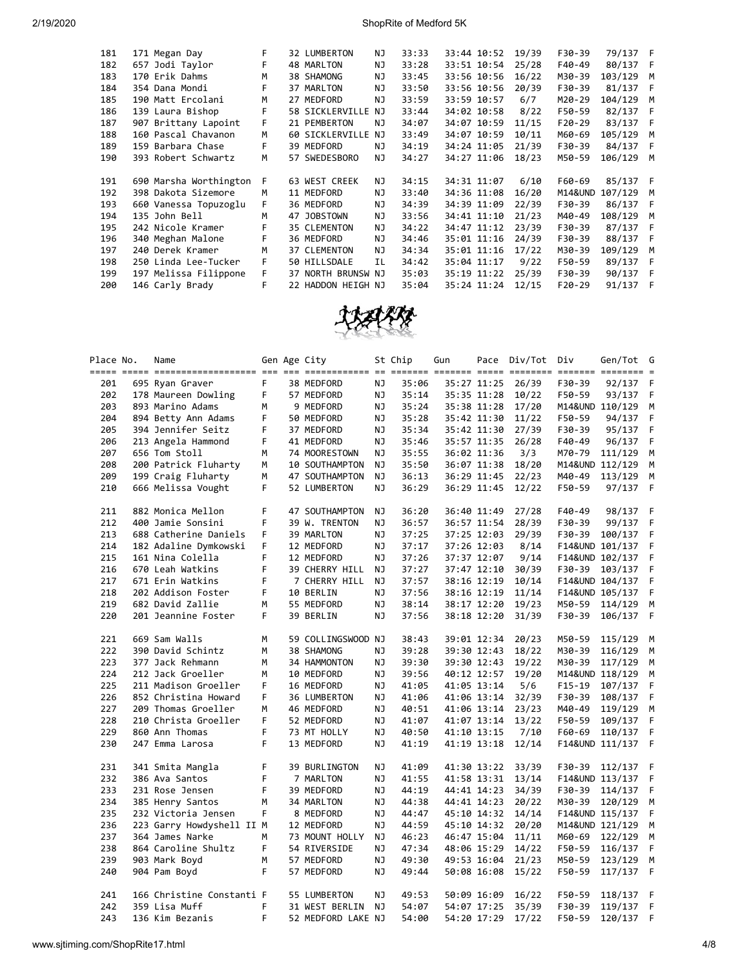| 181 | 171 Megan Day          | F |    | 32 LUMBERTON       | ΝJ | 33:33 | 33:44 10:52 | 19/39 | F30-39   | 79/137 F |     |
|-----|------------------------|---|----|--------------------|----|-------|-------------|-------|----------|----------|-----|
| 182 | 657 Jodi Taylor        | F |    | 48 MARLTON         | NJ | 33:28 | 33:51 10:54 | 25/28 | F40-49   | 80/137   | - F |
| 183 | 170 Erik Dahms         | M |    | 38 SHAMONG         | ΝJ | 33:45 | 33:56 10:56 | 16/22 | M30-39   | 103/129  | M   |
| 184 | 354 Dana Mondi         | F |    | 37 MARLTON         | NJ | 33:50 | 33:56 10:56 | 20/39 | F30-39   | 81/137   | - F |
| 185 | 190 Matt Ercolani      | м |    | 27 MEDFORD         | NJ | 33:59 | 33:59 10:57 | 6/7   | M20-29   | 104/129  | M   |
| 186 | 139 Laura Bishop       | F |    | 58 SICKLERVILLE    | NJ | 33:44 | 34:02 10:58 | 8/22  | F50-59   | 82/137   | - F |
| 187 | 907 Brittany Lapoint   | F |    | 21 PEMBERTON       | NJ | 34:07 | 34:07 10:59 | 11/15 | $F20-29$ | 83/137   | - F |
| 188 | 160 Pascal Chavanon    | M |    | 60 SICKLERVILLE    | NJ | 33:49 | 34:07 10:59 | 10/11 | M60-69   | 105/129  | M   |
| 189 | 159 Barbara Chase      | F |    | 39 MEDFORD         | ΝJ | 34:19 | 34:24 11:05 | 21/39 | F30-39   | 84/137   | - F |
| 190 | 393 Robert Schwartz    | м |    | 57 SWEDESBORO      | ΝJ | 34:27 | 34:27 11:06 | 18/23 | M50-59   | 106/129  | M   |
|     |                        |   |    |                    |    |       |             |       |          |          |     |
| 191 | 690 Marsha Worthington | F |    | 63 WEST CREEK      | ΝJ | 34:15 | 34:31 11:07 | 6/10  | F60-69   | 85/137 F |     |
| 192 | 398 Dakota Sizemore    | м |    | 11 MEDFORD         | NJ | 33:40 | 34:36 11:08 | 16/20 | M14&UND  | 107/129  | M   |
| 193 | 660 Vanessa Topuzoglu  | F |    | 36 MEDFORD         | NJ | 34:39 | 34:39 11:09 | 22/39 | F30-39   | 86/137   | - F |
| 194 | 135 John Bell          | м | 47 | <b>JOBSTOWN</b>    | NJ | 33:56 | 34:41 11:10 | 21/23 | M40-49   | 108/129  | M   |
| 195 | 242 Nicole Kramer      | F |    | 35 CLEMENTON       | NJ | 34:22 | 34:47 11:12 | 23/39 | F30-39   | 87/137   | - F |
| 196 | 340 Meghan Malone      | F |    | 36 MEDFORD         | NJ | 34:46 | 35:01 11:16 | 24/39 | F30-39   | 88/137   | - F |
| 197 | 240 Derek Kramer       | M |    | 37 CLEMENTON       | NJ | 34:34 | 35:01 11:16 | 17/22 | M30-39   | 109/129  | M   |
| 198 | 250 Linda Lee-Tucker   | F |    | 50 HILLSDALE       | ΙL | 34:42 | 35:04 11:17 | 9/22  | F50-59   | 89/137 F |     |
| 199 | 197 Melissa Filippone  | F |    | 37 NORTH BRUNSW NJ |    | 35:03 | 35:19 11:22 | 25/39 | F30-39   | 90/137   | - F |
| 200 | 146 Carly Brady        | F |    | 22 HADDON HEIGH NJ |    | 35:04 | 35:24 11:24 | 12/15 | $F20-29$ | 91/137   | - F |
|     |                        |   |    |                    |    |       |             |       |          |          |     |



| Place No. | Name                      |    | Gen Age City       |           | St Chip | Gun |             | Pace Div/Tot Div |        | Gen/Tot         | G   |
|-----------|---------------------------|----|--------------------|-----------|---------|-----|-------------|------------------|--------|-----------------|-----|
| 201       | 695 Ryan Graver           | F  | 38 MEDFORD         | ΝJ        | 35:06   |     | 35:27 11:25 | 26/39            | F30-39 | 92/137          | F   |
| 202       | 178 Maureen Dowling       | F  | 57 MEDFORD         | ΝJ        | 35:14   |     | 35:35 11:28 | 10/22            | F50-59 | 93/137          | F   |
| 203       | 893 Marino Adams          | М  | 9 MEDFORD          | NJ        | 35:24   |     | 35:38 11:28 | 17/20            |        | M14&UND 110/129 | М   |
| 204       | 894 Betty Ann Adams       | F  | 50 MEDFORD         | ΝJ        | 35:28   |     | 35:42 11:30 | 11/22            | F50-59 | 94/137          | F   |
| 205       | 394 Jennifer Seitz        | F  | 37 MEDFORD         | ΝJ        | 35:34   |     | 35:42 11:30 | 27/39            | F30-39 | 95/137          | F   |
| 206       | 213 Angela Hammond        | F  | 41 MEDFORD         | ΝJ        | 35:46   |     | 35:57 11:35 | 26/28            | F40-49 | 96/137          | F   |
| 207       | 656 Tom Stoll             | M  | 74 MOORESTOWN      | ΝJ        | 35:55   |     | 36:02 11:36 | 3/3              | M70-79 | 111/129         | М   |
| 208       | 200 Patrick Fluharty      | M  | 10 SOUTHAMPTON     | ΝJ        | 35:50   |     | 36:07 11:38 | 18/20            |        | M14&UND 112/129 | М   |
| 209       | 199 Craig Fluharty        | М  | 47 SOUTHAMPTON     | ΝJ        | 36:13   |     | 36:29 11:45 | 22/23            | M40-49 | 113/129         | М   |
| 210       | 666 Melissa Vought        | F  | 52 LUMBERTON       | NJ        | 36:29   |     | 36:29 11:45 | 12/22            | F50-59 | 97/137          | - F |
| 211       | 882 Monica Mellon         | F  | 47 SOUTHAMPTON     | ΝJ        | 36:20   |     | 36:40 11:49 | 27/28            | F40-49 | 98/137          | F   |
| 212       | 400 Jamie Sonsini         | F  | 39 W. TRENTON      | <b>NJ</b> | 36:57   |     | 36:57 11:54 | 28/39            | F30-39 | 99/137          | F   |
| 213       | 688 Catherine Daniels     | F  | 39 MARLTON         | <b>NJ</b> | 37:25   |     | 37:25 12:03 | 29/39            | F30-39 | 100/137         | F   |
| 214       | 182 Adaline Dymkowski     | F  | 12 MEDFORD         | ΝJ        | 37:17   |     | 37:26 12:03 | 8/14             |        | F14&UND 101/137 | F   |
| 215       | 161 Nina Colella          | F  | 12 MEDFORD         | ΝJ        | 37:26   |     | 37:37 12:07 | 9/14             |        | F14&UND 102/137 | F   |
| 216       | 670 Leah Watkins          | F  | 39 CHERRY HILL     | ΝJ        | 37:27   |     | 37:47 12:10 | 30/39            | F30-39 | 103/137         | F   |
| 217       | 671 Erin Watkins          | F  | 7 CHERRY HILL      | ΝJ        | 37:57   |     | 38:16 12:19 | 10/14            |        | F14&UND 104/137 | F   |
| 218       | 202 Addison Foster        | F  | 10 BERLIN          | ΝJ        | 37:56   |     | 38:16 12:19 | 11/14            |        | F14&UND 105/137 | F   |
| 219       | 682 David Zallie          | М  | 55 MEDFORD         | NJ        | 38:14   |     | 38:17 12:20 | 19/23            | M50-59 | 114/129         | М   |
| 220       | 201 Jeannine Foster       | F. | 39 BERLIN          | ΝJ        | 37:56   |     | 38:18 12:20 | 31/39            | F30-39 | 106/137         | F   |
| 221       | 669 Sam Walls             | M  | 59 COLLINGSWOOD NJ |           | 38:43   |     | 39:01 12:34 | 20/23            | M50-59 | 115/129         | М   |
| 222       | 390 David Schintz         | M  | 38 SHAMONG         | NJ        | 39:28   |     | 39:30 12:43 | 18/22            | M30-39 | 116/129         | М   |
| 223       | 377 Jack Rehmann          | M  | 34 HAMMONTON       | <b>NJ</b> | 39:30   |     | 39:30 12:43 | 19/22            | M30-39 | 117/129         | М   |
| 224       | 212 Jack Groeller         | M  | 10 MEDFORD         | NJ        | 39:56   |     | 40:12 12:57 | 19/20            |        | M14&UND 118/129 | М   |
| 225       | 211 Madison Groeller      | F  | 16 MEDFORD         | <b>NJ</b> | 41:05   |     | 41:05 13:14 | 5/6              | F15-19 | 107/137         | F   |
| 226       | 852 Christina Howard      | F  | 36 LUMBERTON       | NJ        | 41:06   |     | 41:06 13:14 | 32/39            | F30-39 | 108/137         | F   |
| 227       | 209 Thomas Groeller       | М  | 46 MEDFORD         | NJ        | 40:51   |     | 41:06 13:14 | 23/23            | M40-49 | 119/129         | M   |
| 228       | 210 Christa Groeller      | F  | 52 MEDFORD         | ΝJ        | 41:07   |     | 41:07 13:14 | 13/22            | F50-59 | 109/137         | F   |
| 229       | 860 Ann Thomas            | F  | 73 MT HOLLY        | NJ        | 40:50   |     | 41:10 13:15 | 7/10             | F60-69 | 110/137         | F   |
| 230       | 247 Emma Larosa           | F  | 13 MEDFORD         | NJ        | 41:19   |     | 41:19 13:18 | 12/14            |        | F14&UND 111/137 | F   |
| 231       | 341 Smita Mangla          | F  | 39 BURLINGTON      | NJ        | 41:09   |     | 41:30 13:22 | 33/39            | F30-39 | 112/137         | F   |
| 232       | 386 Ava Santos            | F  | 7 MARLTON          | NJ        | 41:55   |     | 41:58 13:31 | 13/14            |        | F14&UND 113/137 | F   |
| 233       | 231 Rose Jensen           | F  | 39 MEDFORD         | NJ        | 44:19   |     | 44:41 14:23 | 34/39            | F30-39 | 114/137         | F   |
| 234       | 385 Henry Santos          | M  | 34 MARLTON         | ΝJ        | 44:38   |     | 44:41 14:23 | 20/22            | M30-39 | 120/129         | M   |
| 235       | 232 Victoria Jensen       | F  | 8 MEDFORD          | ΝJ        | 44:47   |     | 45:10 14:32 | 14/14            |        | F14&UND 115/137 | F.  |
| 236       | 223 Garry Howdyshell II M |    | 12 MEDFORD         | ΝJ        | 44:59   |     | 45:10 14:32 | 20/20            |        | M14&UND 121/129 | M   |
| 237       | 364 James Narke           | м  | 73 MOUNT HOLLY     | ΝJ        | 46:23   |     | 46:47 15:04 | 11/11            | M60-69 | 122/129         | M   |
| 238       | 864 Caroline Shultz       | F  | 54 RIVERSIDE       | ΝJ        | 47:34   |     | 48:06 15:29 | 14/22            | F50-59 | 116/137         | F   |
| 239       | 903 Mark Boyd             | м  | 57 MEDFORD         | ΝJ        | 49:30   |     | 49:53 16:04 | 21/23            | M50-59 | 123/129         | M   |
| 240       | 904 Pam Boyd              | F  | 57 MEDFORD         | ΝJ        | 49:44   |     | 50:08 16:08 | 15/22            | F50-59 | 117/137         | F   |
| 241       | 166 Christine Constanti F |    | 55 LUMBERTON       | ΝJ        | 49:53   |     | 50:09 16:09 | 16/22            | F50-59 | 118/137         | F.  |
| 242       | 359 Lisa Muff             | F  | 31 WEST BERLIN     | NJ.       | 54:07   |     | 54:07 17:25 | 35/39            | F30-39 | 119/137         | F.  |
| 243       | 136 Kim Bezanis           | F  | 52 MEDFORD LAKE NJ |           | 54:00   |     | 54:20 17:29 | 17/22            | F50-59 | 120/137         | F.  |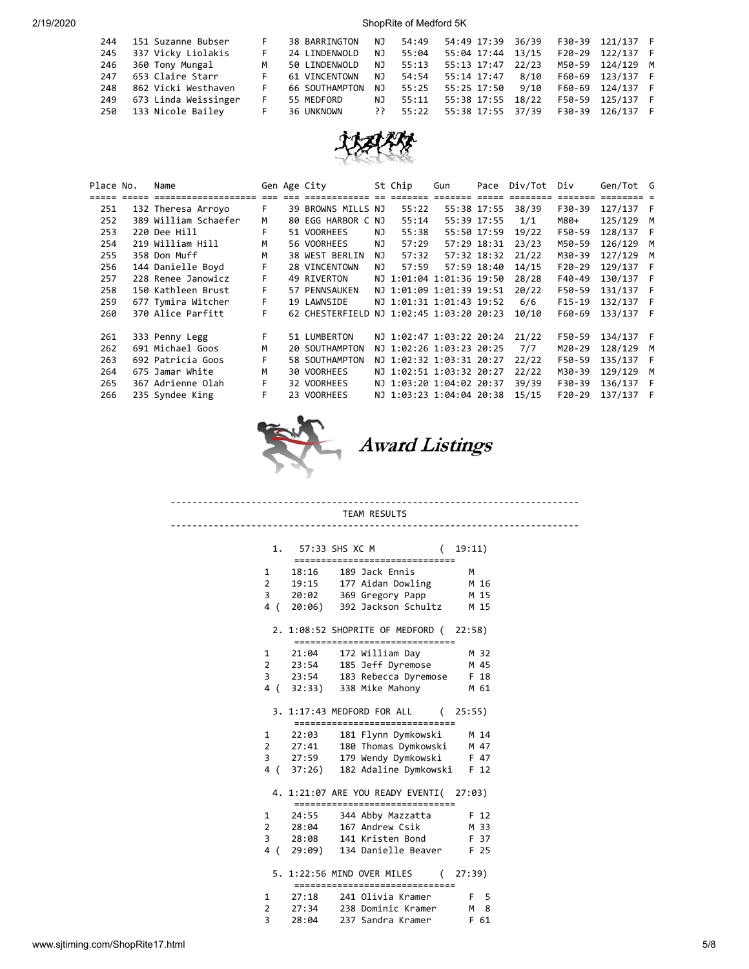| 244 | 151 Suzanne Bubser    | F  | 38 BARRINGTON  | NJ.  |       | 54:49 54:49 17:39 36/39       |       | F30-39 121/137 F |  |
|-----|-----------------------|----|----------------|------|-------|-------------------------------|-------|------------------|--|
| 245 | 337 Vicky Liolakis    | F  | 24 LINDENWOLD  | NJ   | 55:04 | 55:04 17:44                   | 13/15 | F20-29 122/137 F |  |
| 246 | 360 Tony Mungal       | M  | 50 LINDENWOLD  | NJ.  | 55:13 | 55:13 17:47                   | 22/23 | M50-59 124/129 M |  |
| 247 | 653 Claire Starr      |    | 61 VINCENTOWN  | NJ   |       | 54:54 55:14 17:47             | 8/10  | F60-69 123/137 F |  |
| 248 | 862 Vicki Westhaven   | F. | 66 SOUTHAMPTON | NJ   |       | 55:25 55:25 17:50             | 9/10  | F60-69 124/137 F |  |
| 249 | 673 Linda Weissinger  | F. | 55 MEDFORD     | NJ.  | 55:11 | 55:38 17:55 18/22             |       | F50-59 125/137 F |  |
|     | 250 133 Nicole Bailey | F  | 36 UNKNOWN     | י? י |       | 55:22   55:38   17:55   37/39 |       | F30-39 126/137 F |  |



| Place No. | Name                 |    | Gen Age City                             |     | St Chip                  | Gun |             | Pace Div/Tot | Div      | Gen/Tot G |   |
|-----------|----------------------|----|------------------------------------------|-----|--------------------------|-----|-------------|--------------|----------|-----------|---|
|           |                      |    |                                          |     |                          |     | $==$        |              |          |           |   |
| 251       | 132 Theresa Arroyo   | F. | 39 BROWNS MILLS NJ                       |     | 55:22                    |     | 55:38 17:55 | 38/39        | F30-39   | 127/137 F |   |
| 252       | 389 William Schaefer | м  | 80 EGG HARBOR C NJ                       |     | 55:14                    |     | 55:39 17:55 | 1/1          | M80+     | 125/129   | M |
| 253       | 220 Dee Hill         | F  | 51 VOORHEES                              | ΝJ  | 55:38                    |     | 55:50 17:59 | 19/22        | F50-59   | 128/137   | E |
| 254       | 219 William Hill     | М  | 56 VOORHEES                              | NJ. | 57:29                    |     | 57:29 18:31 | 23/23        | M50-59   | 126/129 M |   |
| 255       | 358 Don Muff         | м  | 38 WEST BERLIN                           | NJ. | 57:32                    |     | 57:32 18:32 | 21/22        | M30-39   | 127/129   | M |
| 256       | 144 Danielle Boyd    | F  | 28 VINCENTOWN                            | NJ. | 57:59                    |     | 57:59 18:40 | 14/15        | $F20-29$ | 129/137   | F |
| 257       | 228 Renee Janowicz   | F  | 49 RIVERTON                              |     | NJ 1:01:04 1:01:36 19:50 |     |             | 28/28        | F40-49   | 130/137   | F |
| 258       | 150 Kathleen Brust   | F  | 57 PENNSAUKEN                            |     | NJ 1:01:09 1:01:39 19:51 |     |             | 20/22        | F50-59   | 131/137   | E |
| 259       | 677 Tymira Witcher   | F. | 19 LAWNSIDE                              |     | NJ 1:01:31 1:01:43 19:52 |     |             | 6/6          | $F15-19$ | 132/137   | F |
| 260       | 370 Alice Parfitt    | F  | 62 CHESTERFIELD NJ 1:02:45 1:03:20 20:23 |     |                          |     |             | 10/10        | F60-69   | 133/137   | F |
|           |                      |    |                                          |     |                          |     |             |              |          |           |   |
| 261       | 333 Penny Legg       | F  | 51 LUMBERTON                             |     | NJ 1:02:47 1:03:22 20:24 |     |             | 21/22        | F50-59   | 134/137 F |   |
| 262       | 691 Michael Goos     | м  | 20 SOUTHAMPTON                           |     | NJ 1:02:26 1:03:23 20:25 |     |             | 7/7          | M20-29   | 128/129   | M |
| 263       | 692 Patricia Goos    | F  | 58 SOUTHAMPTON                           |     | NJ 1:02:32 1:03:31 20:27 |     |             | 22/22        | F50-59   | 135/137   | F |
| 264       | 675 Jamar White      | М  | 30 VOORHEES                              |     | NJ 1:02:51 1:03:32 20:27 |     |             | 22/22        | M30-39   | 129/129 M |   |
| 265       | 367 Adrienne Olah    | F. | 32 VOORHEES                              |     | NJ 1:03:20 1:04:02 20:37 |     |             | 39/39        | F30-39   | 136/137   | F |
| 266       | 235 Syndee King      | F  | 23 VOORHEES                              |     | NJ 1:03:23 1:04:04 20:38 |     |             | 15/15        | $F20-29$ | 137/137   | F |
|           |                      |    |                                          |     |                          |     |             |              |          |           |   |



Award Listings

#### ---------------------------------------------------------------------------- TEAM RESULTS ----------------------------------------------------------------------------

|                |                 | 1. 57:33 SHS XC M<br>===============                                         | 19:11)          |
|----------------|-----------------|------------------------------------------------------------------------------|-----------------|
| 1              | 18:16           | 189 Jack Ennis                                                               | м               |
| $\overline{2}$ | 19:15           | 177 Aidan Dowling                                                            | M 16            |
| 3              |                 | 20:02 369 Gregory Papp                                                       | M 15            |
|                |                 | 4 (20:06) 392 Jackson Schultz                                                | M 15            |
|                | ============    | 2. 1:08:52 SHOPRITE OF MEDFORD (22:58)                                       |                 |
| 1              | 21:04           | 172 William Day                                                              | M 32            |
| $2^{\sim}$     | 23:54           | 185 Jeff Dyremose                                                            | M 45            |
| 3              |                 | 23:54 183 Rebecca Dyremose                                                   | F 18            |
|                |                 | 4 (32:33) 338 Mike Mahony                                                    | M 61            |
|                |                 | 3. 1:17:43 MEDFORD FOR ALL<br>=================================              | (25:55)         |
| $\mathbf{1}$   | 22:03           | 181 Flynn Dymkowski                                                          | M 14            |
|                | $2 \quad 27:41$ | 180 Thomas Dymkowski                                                         | M 47            |
| 3              |                 | 27:59 179 Wendy Dymkowski                                                    | F 47            |
|                |                 | 4 (37:26) 182 Adaline Dymkowski                                              | F <sub>12</sub> |
|                |                 | 4. 1:21:07 ARE YOU READY EVENTI( 27:03)<br>================================= |                 |
|                |                 | 1 24:55 344 Abby Mazzatta                                                    | F 12            |
| $\overline{2}$ | 28:04           | 167 Andrew Csik                                                              | M 33            |
| 3              | 28:08           | 141 Kristen Bond                                                             | F 37            |
| 4 (            |                 | 29:09) 134 Danielle Beaver                                                   | F 25            |
|                |                 | 5. 1:22:56 MIND OVER MILES<br>==========================<br>------           | (27:39)         |
| $\mathbf{1}$   | 27:18           | 241 Olivia Kramer                                                            | $F = 5$         |
| 2              | 27:34           | 238 Dominic Kramer                                                           | 8<br>M          |
| 3              | 28:04           | 237 Sandra Kramer                                                            | 61<br>F.        |

www.sjtiming.com/ShopRite17.html 5/8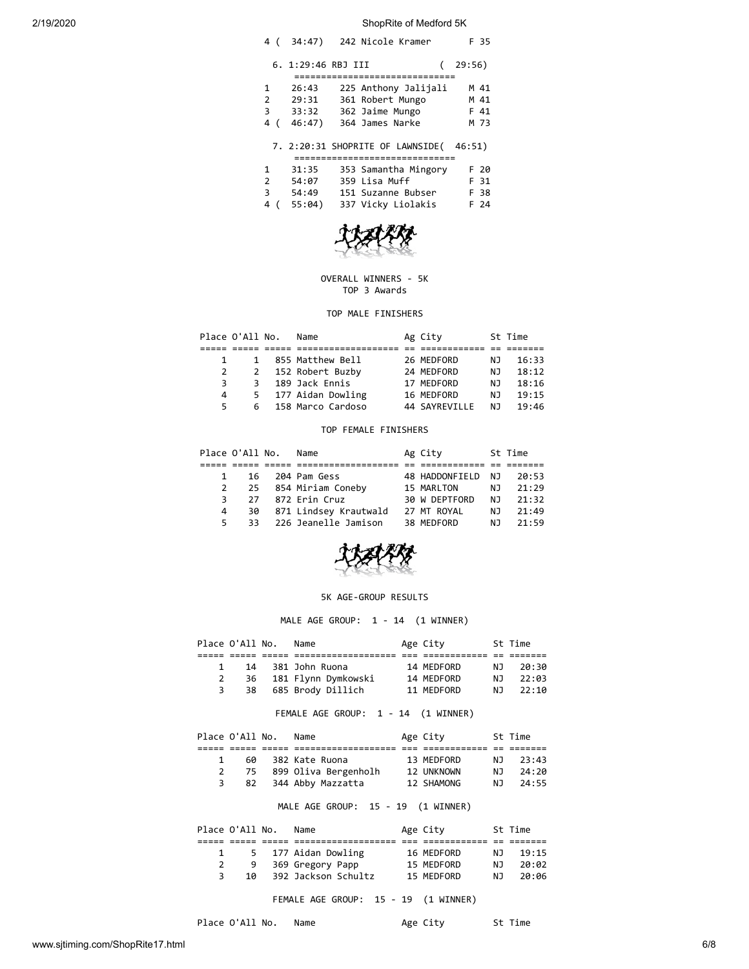| 4 (                     | 34:47)                            | 242 Nicole Kramer                                                                                         | F 35                         |
|-------------------------|-----------------------------------|-----------------------------------------------------------------------------------------------------------|------------------------------|
|                         | 6. 1:29:46 RBJ III                |                                                                                                           | 29:56)                       |
| 1<br>2<br>3<br>4<br>(   | 26:43<br>29:31<br>33:32<br>46:47) | =======================<br>225 Anthony Jalijali<br>361 Robert Mungo<br>362 Jaime Mungo<br>364 James Narke | M 41<br>M 41<br>F 41<br>M 73 |
|                         |                                   | 7. 2:20:31 SHOPRITE OF LAWNSIDE(<br>========================                                              | 46:51)                       |
| 1<br>$\mathcal{P}$<br>З | 31:35<br>54:07<br>54:49           | 353 Samantha Mingory<br>359 Lisa Muff<br>151 Suzanne Bubser                                               | F 20<br>F 31<br>F 38         |



4 ( 55:04) 337 Vicky Liolakis F 24

### OVERALL WINNERS - 5K TOP 3 Awards

### TOP MALE FINISHERS

|    | Place O'All No. | Name                | Ag City       |     | St Time |
|----|-----------------|---------------------|---------------|-----|---------|
|    |                 |                     |               |     |         |
|    | 1               | 855 Matthew Bell    | 26 MEDFORD    | NJ. | 16:33   |
|    |                 | 2 152 Robert Buzby  | 24 MEDFORD    | NJ. | 18:12   |
| 3. | 3 I             | 189 Jack Ennis      | 17 MEDFORD    | NJ. | 18:16   |
| 4  |                 | 5 177 Aidan Dowling | 16 MEDFORD    | NJ. | 19:15   |
| 5. | რ —             | 158 Marco Cardoso   | 44 SAYREVILLE | N J | 19:46   |

#### TOP FEMALE FINISHERS

|              | Place O'All No. | Name                    | Ag City        |      | St Time |
|--------------|-----------------|-------------------------|----------------|------|---------|
|              |                 |                         |                |      |         |
| $\mathbf{1}$ | 16              | 204 Pam Gess            | 48 HADDONFIELD | NJ.  | 20:53   |
|              |                 | 2 25 854 Miriam Coneby  | 15 MARLTON     | NJ.  | 21:29   |
| 3            |                 | 27 872 Erin Cruz        | 30 W DEPTFORD  | NJ N | 21:32   |
| 4            | 30              | 871 Lindsey Krautwald   | 27 MT ROYAL    | NJ.  | 21:49   |
| 5.           |                 | 33 226 Jeanelle Jamison | 38 MEDFORD     | N J  | 21:59   |



# 5K AGE-GROUP RESULTS

MALE AGE GROUP: 1 - 14 (1 WINNER)

|  | Place O'All No. | Name                   | Age City   |     | St Time |
|--|-----------------|------------------------|------------|-----|---------|
|  |                 |                        |            |     |         |
|  |                 | 14 381 John Ruona      | 14 MEDFORD | N J | 20:30   |
|  |                 | 36 181 Flynn Dymkowski | 14 MEDFORD | N J | 22:03   |
|  | 38              | 685 Brody Dillich      | 11 MEDFORD | NJ. | 22:10   |

FEMALE AGE GROUP: 1 - 14 (1 WINNER)

|                | Place O'All No. | Name                 | Age City   |     | St Time |
|----------------|-----------------|----------------------|------------|-----|---------|
|                |                 |                      |            |     |         |
| $\overline{1}$ | 60              | 382 Kate Ruona       | 13 MEDFORD | N J | 23:43   |
|                | 75              | 899 Oliva Bergenholh | 12 UNKNOWN | NJ. | 24:20   |
|                | 82              | 344 Abby Mazzatta    | 12 SHAMONG | N J | 24:55   |

## MALE AGE GROUP: 15 - 19 (1 WINNER)

| Place O'All No. |    | Name                | Age City   |     | St Time |
|-----------------|----|---------------------|------------|-----|---------|
|                 |    |                     |            |     |         |
|                 |    | 5 177 Aidan Dowling | 16 MEDFORD | NJ. | 19:15   |
|                 |    | 369 Gregory Papp    | 15 MEDFORD | N J | 20:02   |
|                 | 1Q | 392 Jackson Schultz | 15 MEDFORD | N J | 20:06   |
|                 |    |                     |            |     |         |

FEMALE AGE GROUP: 15 - 19 (1 WINNER)

Place O'All No. Name Age City St Time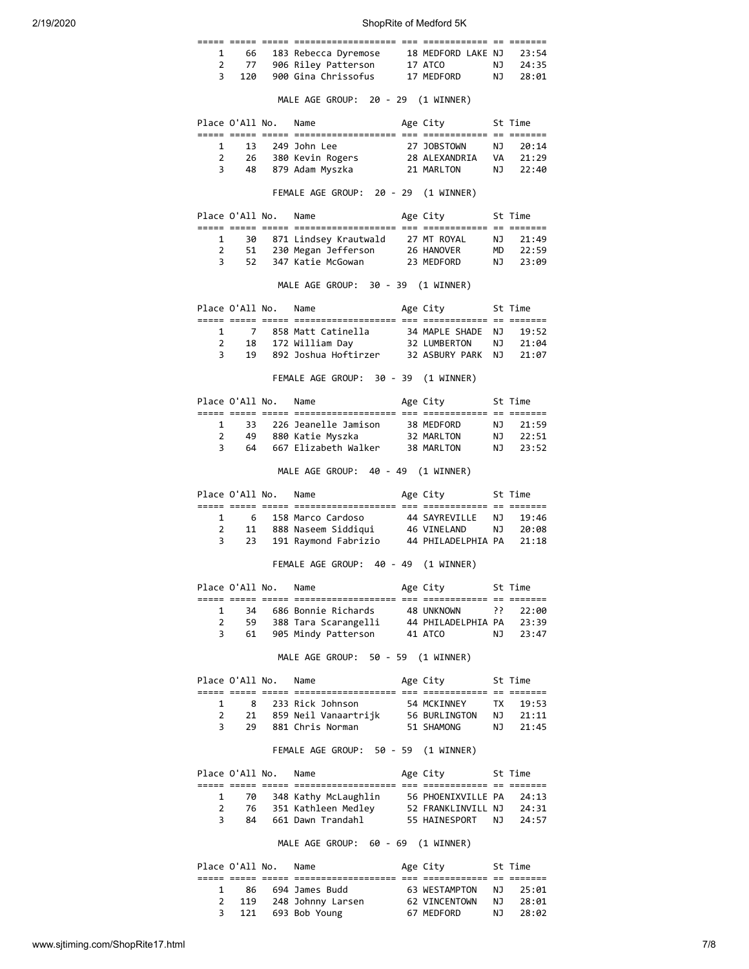|                             |                           |                      | 1 66 183 Rebecca Dyremose 18 MEDFORD LAKE NJ 23:54<br>2 77 906 Riley Patterson 17 ATCO NJ 24:35                                           |                              |           |                      |
|-----------------------------|---------------------------|----------------------|-------------------------------------------------------------------------------------------------------------------------------------------|------------------------------|-----------|----------------------|
|                             |                           |                      |                                                                                                                                           |                              |           |                      |
|                             | 3 <sup>7</sup><br>120     |                      | 900 Gina Chrissofus 17 MEDFORD NJ 28:01                                                                                                   |                              |           |                      |
|                             |                           |                      |                                                                                                                                           |                              |           |                      |
|                             |                           |                      | MALE AGE GROUP: 20 - 29 (1 WINNER)                                                                                                        |                              |           |                      |
|                             |                           |                      | Place O'All No. Name                                                                                                                      | Age City 5t Time             |           |                      |
|                             |                           |                      |                                                                                                                                           |                              |           |                      |
| $\mathbf{1}$                |                           |                      | 13 249 John Lee                                                                                                                           | 27 JOBSTOWN NJ 20:14         |           |                      |
|                             | $2^{\sim}$<br>$3^{\circ}$ |                      | 26 380 Kevin Rogers<br>28 ALEXANDRIA VA 21:29<br>48 879 Adam Myszka                                                                       | 21 MARLTON                   |           | NJ 22:40             |
|                             |                           |                      |                                                                                                                                           |                              |           |                      |
|                             |                           |                      | FEMALE AGE GROUP: 20 - 29 (1 WINNER)                                                                                                      |                              |           |                      |
|                             |                           |                      | Place O'All No. Name                                                                                                                      | Age City 5t Time             |           |                      |
|                             | $1 \quad$                 |                      | 30 871 Lindsey Krautwald 27 MT ROYAL                                                                                                      |                              | <b>NJ</b> | 21:49                |
| $\mathbf{2}$                |                           |                      |                                                                                                                                           |                              |           |                      |
|                             | $\overline{3}$            |                      | 51 230 Megan Jefferson 26 HANOVER<br>52 347 Katie McGowan 23 MEDFORD                                                                      |                              |           | MD 22:59<br>NJ 23:09 |
|                             |                           |                      |                                                                                                                                           |                              |           |                      |
|                             |                           |                      | MALE AGE GROUP: 30 - 39 (1 WINNER)                                                                                                        |                              |           |                      |
|                             |                           |                      | Place O'All No. Name                                                                                                                      | Age City 5t Time             |           |                      |
|                             |                           |                      |                                                                                                                                           |                              |           |                      |
|                             |                           |                      | 1 7 858 Matt Catinella 34 MAPLE SHADE<br>2 18 172 William Day 32 LUMBERTON<br>3 19 892 Joshua Hoftirzer 32 ASBURY PARK                    |                              |           | NJ 19:52<br>NJ 21:04 |
|                             |                           |                      |                                                                                                                                           |                              |           | NJ 21:07             |
|                             |                           |                      |                                                                                                                                           |                              |           |                      |
|                             |                           |                      | FEMALE AGE GROUP: 30 - 39 (1 WINNER)                                                                                                      |                              |           |                      |
|                             |                           | Place O'All No. Name |                                                                                                                                           | Age City                     |           | St Time              |
|                             |                           |                      |                                                                                                                                           |                              |           |                      |
| $\mathbf{1}$                |                           |                      | 33 226 Jeanelle Jamison 38 MEDFORD                                                                                                        |                              |           | NJ 21:59             |
| 3                           | 64                        |                      | 2 49 880 Katie Myszka 32 MARLTON NJ 22:51<br>667 Elizabeth Walker 38 MARLTON                                                              |                              |           | NJ 23:52             |
|                             |                           |                      |                                                                                                                                           |                              |           |                      |
|                             |                           |                      | MALE AGE GROUP: 40 - 49 (1 WINNER)                                                                                                        |                              |           |                      |
|                             |                           |                      | Place O'All No. Name                                                                                                                      | Age City 5t Time             |           |                      |
| $\mathbf{1}$                |                           |                      | 6 158 Marco Cardoso                                                                                                                       | 44 SAYREVILLE                | <b>NJ</b> | 19:46                |
| $\mathbf{2}$                |                           |                      | 11 888 Naseem Siddiqui                                                                                                                    | 46 VINELAND                  |           | NJ 20:08             |
| 3                           |                           |                      | 23 191 Raymond Fabrizio 44 PHILADELPHIA PA 21:18                                                                                          |                              |           |                      |
|                             |                           |                      | FEMALE AGE GROUP: 40 - 49 (1 WINNER)                                                                                                      |                              |           |                      |
|                             |                           |                      | Place O'All No. Name                                                                                                                      | Age City 5t Time             |           |                      |
|                             |                           |                      |                                                                                                                                           |                              |           |                      |
| 1                           |                           |                      |                                                                                                                                           |                              |           |                      |
| 2                           |                           |                      | 34 686 Bonnie Richards 48 UNKNOWN ?? 22:00<br>59 388 Tara Scarangelli 44 PHILADELPHIA PA 23:39<br>61 905 Mindy Patterson 41 ATCO NJ 23:47 |                              |           |                      |
| 3                           |                           |                      |                                                                                                                                           |                              |           |                      |
|                             |                           |                      | MALE AGE GROUP: 50 - 59 (1 WINNER)                                                                                                        |                              |           |                      |
|                             |                           | Place O'All No. Name |                                                                                                                                           | Age City 5t Time             |           |                      |
| 1                           |                           |                      | 8   233 Rick Johnson                                                                                                                      | 54 MCKINNEY      TX    19:53 |           |                      |
|                             | $2 \quad \blacksquare$    |                      | 21 859 Neil Vanaartrijk 56 BURLINGTON NJ 21:11<br>29 881 Chris Norman 51 SHAMONG NJ 21:45                                                 |                              |           |                      |
|                             | $3^{\circ}$               |                      |                                                                                                                                           |                              |           |                      |
|                             |                           |                      | FEMALE AGE GROUP: 50 - 59 (1 WINNER)                                                                                                      |                              |           |                      |
|                             |                           | Place O'All No. Name |                                                                                                                                           | Age City 5t Time             |           |                      |
|                             |                           |                      |                                                                                                                                           |                              |           |                      |
| $\mathbf 1$<br>$\mathbf{2}$ |                           |                      | 70 348 Kathy McLaughlin 56 PHOENIXVILLE PA                                                                                                |                              |           | 24:13                |
| 3                           |                           |                      | 76 351 Kathleen Medley 52 FRANKLINVILL NJ 24:31<br>84 661 Dawn Trandahl 55 HAINESPORT NJ 24:57                                            |                              |           |                      |
|                             |                           |                      | MALE AGE GROUP: 60 - 69 (1 WINNER)                                                                                                        |                              |           |                      |
|                             |                           |                      |                                                                                                                                           |                              |           |                      |
|                             |                           | Place O'All No. Name |                                                                                                                                           | Age City<br>St Time          |           |                      |
| 1                           |                           |                      |                                                                                                                                           |                              |           |                      |
| 2                           |                           |                      |                                                                                                                                           |                              |           |                      |
| 3                           |                           |                      | 121 693 Bob Young 67 MEDFORD                                                                                                              |                              | <b>NJ</b> | 28:02                |

3 121 693 Bob Young 67 MEDFORD NJ 28:02